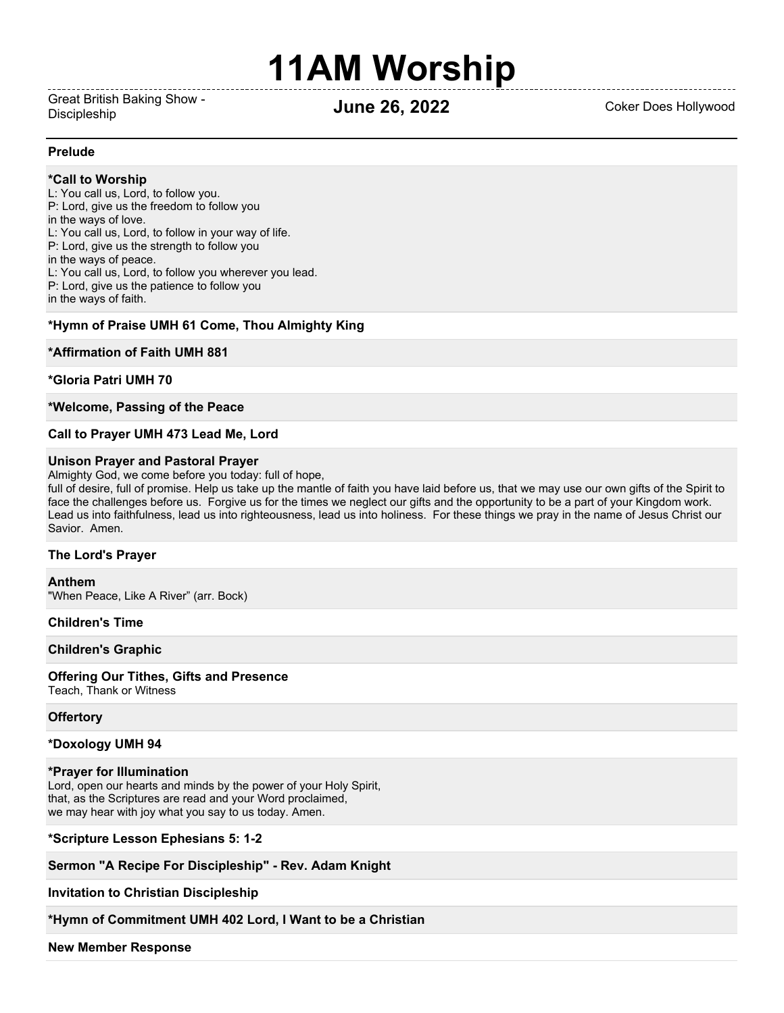# **11AM Worship**

Great British Baking Show - Discipleship **June 26, 2022** Coker Does Hollywood

#### **Prelude**

#### **\*Call to Worship**

L: You call us, Lord, to follow you. P: Lord, give us the freedom to follow you in the ways of love. L: You call us, Lord, to follow in your way of life. P: Lord, give us the strength to follow you in the ways of peace. L: You call us, Lord, to follow you wherever you lead. P: Lord, give us the patience to follow you in the ways of faith.

#### **\*Hymn of Praise UMH 61 Come, Thou Almighty King**

#### **\*Affirmation of Faith UMH 881**

#### **\*Gloria Patri UMH 70**

**\*Welcome, Passing of the Peace**

#### **Call to Prayer UMH 473 Lead Me, Lord**

#### **Unison Prayer and Pastoral Prayer**

Almighty God, we come before you today: full of hope,

full of desire, full of promise. Help us take up the mantle of faith you have laid before us, that we may use our own gifts of the Spirit to face the challenges before us. Forgive us for the times we neglect our gifts and the opportunity to be a part of your Kingdom work. Lead us into faithfulness, lead us into righteousness, lead us into holiness. For these things we pray in the name of Jesus Christ our Savior. Amen.

#### **The Lord's Prayer**

**Anthem** "When Peace, Like A River" (arr. Bock)

#### **Children's Time**

#### **Children's Graphic**

**Offering Our Tithes, Gifts and Presence** Teach, Thank or Witness

### **Offertory**

#### **\*Doxology UMH 94**

#### **\*Prayer for Illumination**

Lord, open our hearts and minds by the power of your Holy Spirit, that, as the Scriptures are read and your Word proclaimed, we may hear with joy what you say to us today. Amen.

#### **\*Scripture Lesson Ephesians 5: 1-2**

**Sermon "A Recipe For Discipleship" - Rev. Adam Knight**

**Invitation to Christian Discipleship**

**\*Hymn of Commitment UMH 402 Lord, I Want to be a Christian**

**New Member Response**